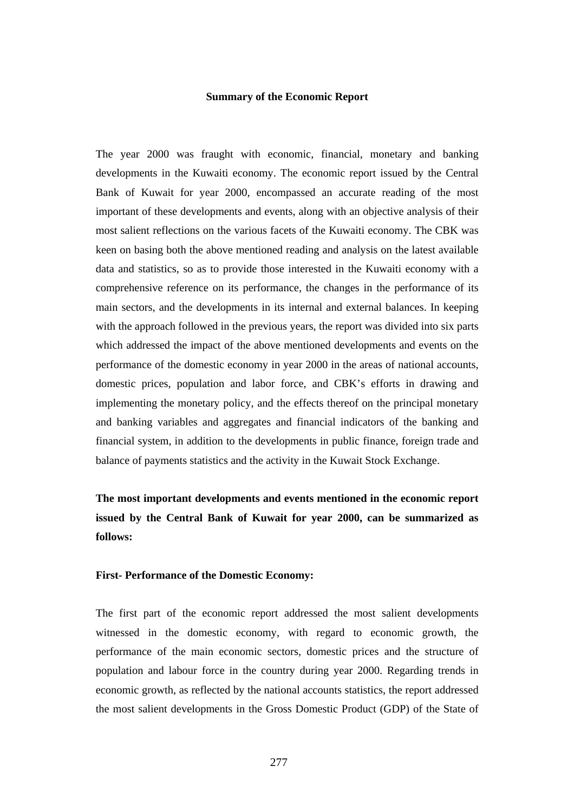#### **Summary of the Economic Report**

The year 2000 was fraught with economic, financial, monetary and banking developments in the Kuwaiti economy. The economic report issued by the Central Bank of Kuwait for year 2000, encompassed an accurate reading of the most important of these developments and events, along with an objective analysis of their most salient reflections on the various facets of the Kuwaiti economy. The CBK was keen on basing both the above mentioned reading and analysis on the latest available data and statistics, so as to provide those interested in the Kuwaiti economy with a comprehensive reference on its performance, the changes in the performance of its main sectors, and the developments in its internal and external balances. In keeping with the approach followed in the previous years, the report was divided into six parts which addressed the impact of the above mentioned developments and events on the performance of the domestic economy in year 2000 in the areas of national accounts, domestic prices, population and labor force, and CBK's efforts in drawing and implementing the monetary policy, and the effects thereof on the principal monetary and banking variables and aggregates and financial indicators of the banking and financial system, in addition to the developments in public finance, foreign trade and balance of payments statistics and the activity in the Kuwait Stock Exchange.

**The most important developments and events mentioned in the economic report issued by the Central Bank of Kuwait for year 2000, can be summarized as follows:** 

## **First- Performance of the Domestic Economy:**

The first part of the economic report addressed the most salient developments witnessed in the domestic economy, with regard to economic growth, the performance of the main economic sectors, domestic prices and the structure of population and labour force in the country during year 2000. Regarding trends in economic growth, as reflected by the national accounts statistics, the report addressed the most salient developments in the Gross Domestic Product (GDP) of the State of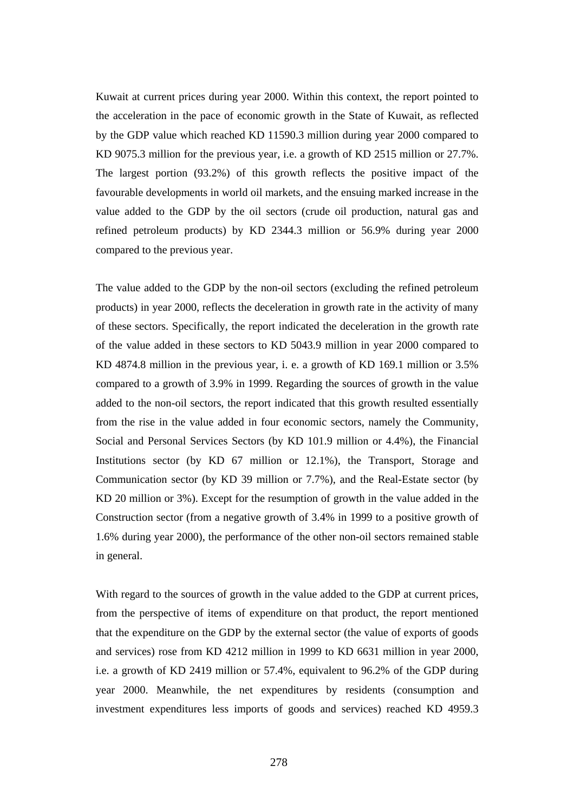Kuwait at current prices during year 2000. Within this context, the report pointed to the acceleration in the pace of economic growth in the State of Kuwait, as reflected by the GDP value which reached KD 11590.3 million during year 2000 compared to KD 9075.3 million for the previous year, i.e. a growth of KD 2515 million or 27.7%. The largest portion (93.2%) of this growth reflects the positive impact of the favourable developments in world oil markets, and the ensuing marked increase in the value added to the GDP by the oil sectors (crude oil production, natural gas and refined petroleum products) by KD 2344.3 million or 56.9% during year 2000 compared to the previous year.

The value added to the GDP by the non-oil sectors (excluding the refined petroleum products) in year 2000, reflects the deceleration in growth rate in the activity of many of these sectors. Specifically, the report indicated the deceleration in the growth rate of the value added in these sectors to KD 5043.9 million in year 2000 compared to KD 4874.8 million in the previous year, i. e. a growth of KD 169.1 million or 3.5% compared to a growth of 3.9% in 1999. Regarding the sources of growth in the value added to the non-oil sectors, the report indicated that this growth resulted essentially from the rise in the value added in four economic sectors, namely the Community, Social and Personal Services Sectors (by KD 101.9 million or 4.4%), the Financial Institutions sector (by KD 67 million or 12.1%), the Transport, Storage and Communication sector (by KD 39 million or 7.7%), and the Real-Estate sector (by KD 20 million or 3%). Except for the resumption of growth in the value added in the Construction sector (from a negative growth of 3.4% in 1999 to a positive growth of 1.6% during year 2000), the performance of the other non-oil sectors remained stable in general.

With regard to the sources of growth in the value added to the GDP at current prices, from the perspective of items of expenditure on that product, the report mentioned that the expenditure on the GDP by the external sector (the value of exports of goods and services) rose from KD 4212 million in 1999 to KD 6631 million in year 2000, i.e. a growth of KD 2419 million or 57.4%, equivalent to 96.2% of the GDP during year 2000. Meanwhile, the net expenditures by residents (consumption and investment expenditures less imports of goods and services) reached KD 4959.3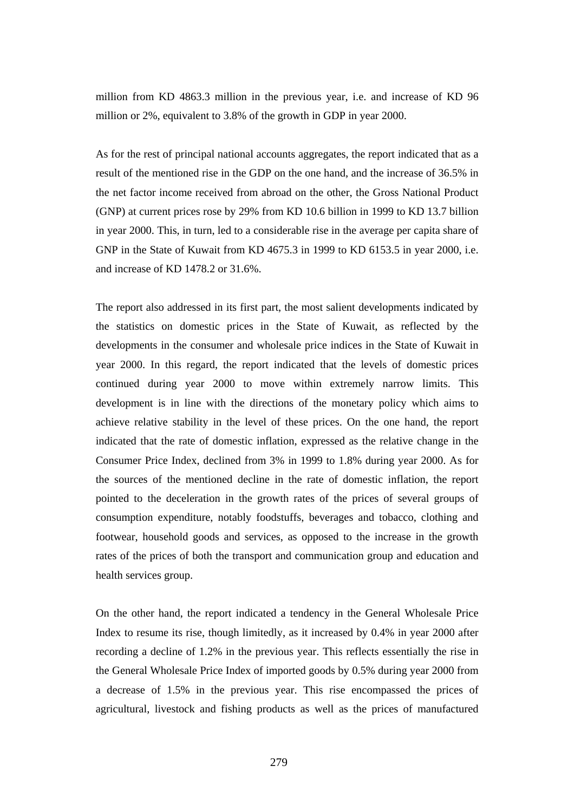million from KD 4863.3 million in the previous year, i.e. and increase of KD 96 million or 2%, equivalent to 3.8% of the growth in GDP in year 2000.

As for the rest of principal national accounts aggregates, the report indicated that as a result of the mentioned rise in the GDP on the one hand, and the increase of 36.5% in the net factor income received from abroad on the other, the Gross National Product (GNP) at current prices rose by 29% from KD 10.6 billion in 1999 to KD 13.7 billion in year 2000. This, in turn, led to a considerable rise in the average per capita share of GNP in the State of Kuwait from KD 4675.3 in 1999 to KD 6153.5 in year 2000, i.e. and increase of KD 1478.2 or 31.6%.

The report also addressed in its first part, the most salient developments indicated by the statistics on domestic prices in the State of Kuwait, as reflected by the developments in the consumer and wholesale price indices in the State of Kuwait in year 2000. In this regard, the report indicated that the levels of domestic prices continued during year 2000 to move within extremely narrow limits. This development is in line with the directions of the monetary policy which aims to achieve relative stability in the level of these prices. On the one hand, the report indicated that the rate of domestic inflation, expressed as the relative change in the Consumer Price Index, declined from 3% in 1999 to 1.8% during year 2000. As for the sources of the mentioned decline in the rate of domestic inflation, the report pointed to the deceleration in the growth rates of the prices of several groups of consumption expenditure, notably foodstuffs, beverages and tobacco, clothing and footwear, household goods and services, as opposed to the increase in the growth rates of the prices of both the transport and communication group and education and health services group.

On the other hand, the report indicated a tendency in the General Wholesale Price Index to resume its rise, though limitedly, as it increased by 0.4% in year 2000 after recording a decline of 1.2% in the previous year. This reflects essentially the rise in the General Wholesale Price Index of imported goods by 0.5% during year 2000 from a decrease of 1.5% in the previous year. This rise encompassed the prices of agricultural, livestock and fishing products as well as the prices of manufactured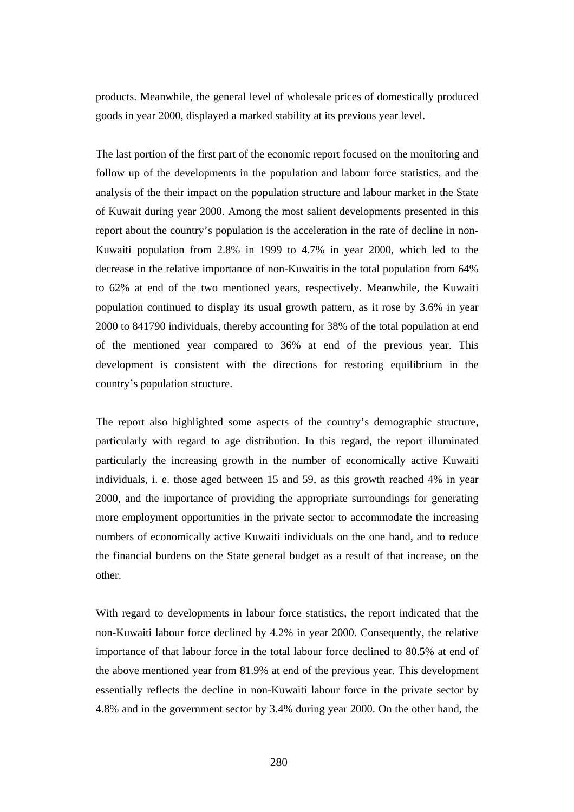products. Meanwhile, the general level of wholesale prices of domestically produced goods in year 2000, displayed a marked stability at its previous year level.

The last portion of the first part of the economic report focused on the monitoring and follow up of the developments in the population and labour force statistics, and the analysis of the their impact on the population structure and labour market in the State of Kuwait during year 2000. Among the most salient developments presented in this report about the country's population is the acceleration in the rate of decline in non-Kuwaiti population from 2.8% in 1999 to 4.7% in year 2000, which led to the decrease in the relative importance of non-Kuwaitis in the total population from 64% to 62% at end of the two mentioned years, respectively. Meanwhile, the Kuwaiti population continued to display its usual growth pattern, as it rose by 3.6% in year 2000 to 841790 individuals, thereby accounting for 38% of the total population at end of the mentioned year compared to 36% at end of the previous year. This development is consistent with the directions for restoring equilibrium in the country's population structure.

The report also highlighted some aspects of the country's demographic structure, particularly with regard to age distribution. In this regard, the report illuminated particularly the increasing growth in the number of economically active Kuwaiti individuals, i. e. those aged between 15 and 59, as this growth reached 4% in year 2000, and the importance of providing the appropriate surroundings for generating more employment opportunities in the private sector to accommodate the increasing numbers of economically active Kuwaiti individuals on the one hand, and to reduce the financial burdens on the State general budget as a result of that increase, on the other.

With regard to developments in labour force statistics, the report indicated that the non-Kuwaiti labour force declined by 4.2% in year 2000. Consequently, the relative importance of that labour force in the total labour force declined to 80.5% at end of the above mentioned year from 81.9% at end of the previous year. This development essentially reflects the decline in non-Kuwaiti labour force in the private sector by 4.8% and in the government sector by 3.4% during year 2000. On the other hand, the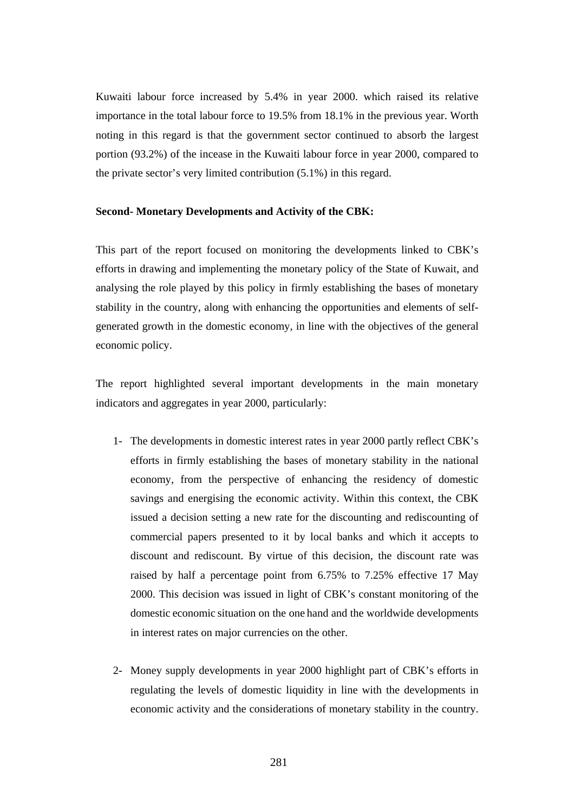Kuwaiti labour force increased by 5.4% in year 2000. which raised its relative importance in the total labour force to 19.5% from 18.1% in the previous year. Worth noting in this regard is that the government sector continued to absorb the largest portion (93.2%) of the incease in the Kuwaiti labour force in year 2000, compared to the private sector's very limited contribution (5.1%) in this regard.

## **Second- Monetary Developments and Activity of the CBK:**

This part of the report focused on monitoring the developments linked to CBK's efforts in drawing and implementing the monetary policy of the State of Kuwait, and analysing the role played by this policy in firmly establishing the bases of monetary stability in the country, along with enhancing the opportunities and elements of selfgenerated growth in the domestic economy, in line with the objectives of the general economic policy.

The report highlighted several important developments in the main monetary indicators and aggregates in year 2000, particularly:

- 1- The developments in domestic interest rates in year 2000 partly reflect CBK's efforts in firmly establishing the bases of monetary stability in the national economy, from the perspective of enhancing the residency of domestic savings and energising the economic activity. Within this context, the CBK issued a decision setting a new rate for the discounting and rediscounting of commercial papers presented to it by local banks and which it accepts to discount and rediscount. By virtue of this decision, the discount rate was raised by half a percentage point from 6.75% to 7.25% effective 17 May 2000. This decision was issued in light of CBK's constant monitoring of the domestic economic situation on the one hand and the worldwide developments in interest rates on major currencies on the other.
- 2- Money supply developments in year 2000 highlight part of CBK's efforts in regulating the levels of domestic liquidity in line with the developments in economic activity and the considerations of monetary stability in the country.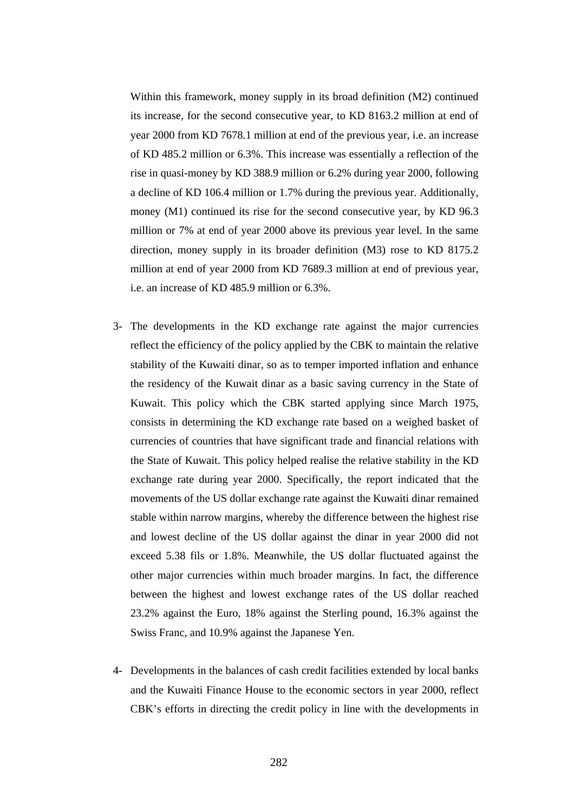Within this framework, money supply in its broad definition (M2) continued its increase, for the second consecutive year, to KD 8163.2 million at end of year 2000 from KD 7678.1 million at end of the previous year, i.e. an increase of KD 485.2 million or 6.3%. This increase was essentially a reflection of the rise in quasi-money by KD 388.9 million or 6.2% during year 2000, following a decline of KD 106.4 million or 1.7% during the previous year. Additionally, money (M1) continued its rise for the second consecutive year, by KD 96.3 million or 7% at end of year 2000 above its previous year level. In the same direction, money supply in its broader definition (M3) rose to KD 8175.2 million at end of year 2000 from KD 7689.3 million at end of previous year, i.e. an increase of KD 485.9 million or 6.3%.

- 3- The developments in the KD exchange rate against the major currencies reflect the efficiency of the policy applied by the CBK to maintain the relative stability of the Kuwaiti dinar, so as to temper imported inflation and enhance the residency of the Kuwait dinar as a basic saving currency in the State of Kuwait. This policy which the CBK started applying since March 1975, consists in determining the KD exchange rate based on a weighed basket of currencies of countries that have significant trade and financial relations with the State of Kuwait. This policy helped realise the relative stability in the KD exchange rate during year 2000. Specifically, the report indicated that the movements of the US dollar exchange rate against the Kuwaiti dinar remained stable within narrow margins, whereby the difference between the highest rise and lowest decline of the US dollar against the dinar in year 2000 did not exceed 5.38 fils or 1.8%. Meanwhile, the US dollar fluctuated against the other major currencies within much broader margins. In fact, the difference between the highest and lowest exchange rates of the US dollar reached 23.2% against the Euro, 18% against the Sterling pound, 16.3% against the Swiss Franc, and 10.9% against the Japanese Yen.
- 4- Developments in the balances of cash credit facilities extended by local banks and the Kuwaiti Finance House to the economic sectors in year 2000, reflect CBK's efforts in directing the credit policy in line with the developments in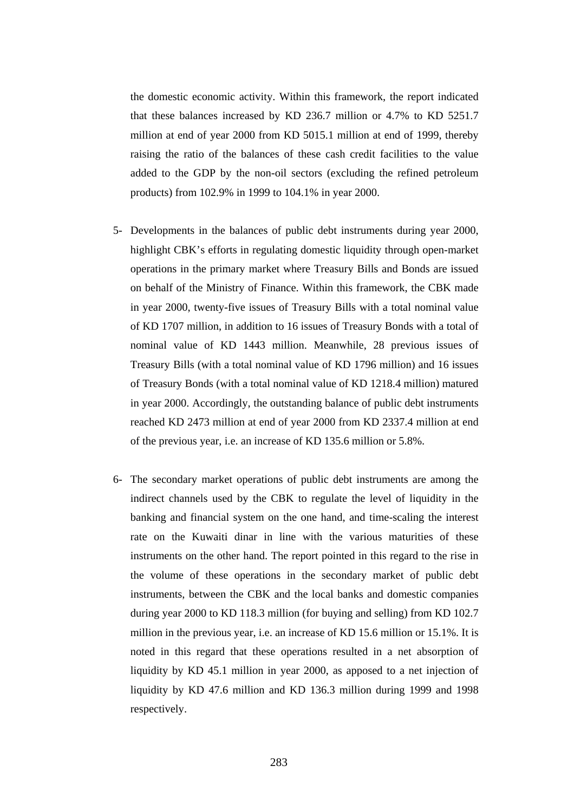the domestic economic activity. Within this framework, the report indicated that these balances increased by KD 236.7 million or 4.7% to KD 5251.7 million at end of year 2000 from KD 5015.1 million at end of 1999, thereby raising the ratio of the balances of these cash credit facilities to the value added to the GDP by the non-oil sectors (excluding the refined petroleum products) from 102.9% in 1999 to 104.1% in year 2000.

- 5- Developments in the balances of public debt instruments during year 2000, highlight CBK's efforts in regulating domestic liquidity through open-market operations in the primary market where Treasury Bills and Bonds are issued on behalf of the Ministry of Finance. Within this framework, the CBK made in year 2000, twenty-five issues of Treasury Bills with a total nominal value of KD 1707 million, in addition to 16 issues of Treasury Bonds with a total of nominal value of KD 1443 million. Meanwhile, 28 previous issues of Treasury Bills (with a total nominal value of KD 1796 million) and 16 issues of Treasury Bonds (with a total nominal value of KD 1218.4 million) matured in year 2000. Accordingly, the outstanding balance of public debt instruments reached KD 2473 million at end of year 2000 from KD 2337.4 million at end of the previous year, i.e. an increase of KD 135.6 million or 5.8%.
- 6- The secondary market operations of public debt instruments are among the indirect channels used by the CBK to regulate the level of liquidity in the banking and financial system on the one hand, and time-scaling the interest rate on the Kuwaiti dinar in line with the various maturities of these instruments on the other hand. The report pointed in this regard to the rise in the volume of these operations in the secondary market of public debt instruments, between the CBK and the local banks and domestic companies during year 2000 to KD 118.3 million (for buying and selling) from KD 102.7 million in the previous year, i.e. an increase of KD 15.6 million or 15.1%. It is noted in this regard that these operations resulted in a net absorption of liquidity by KD 45.1 million in year 2000, as apposed to a net injection of liquidity by KD 47.6 million and KD 136.3 million during 1999 and 1998 respectively.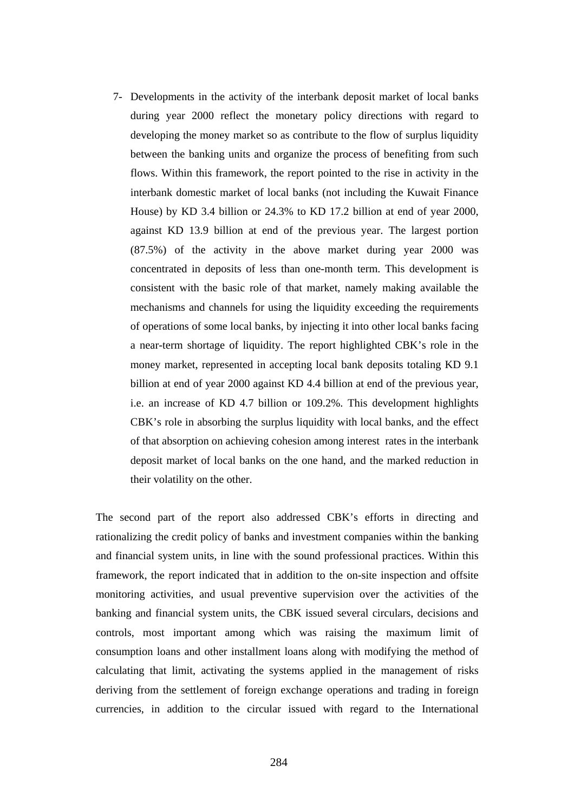7- Developments in the activity of the interbank deposit market of local banks during year 2000 reflect the monetary policy directions with regard to developing the money market so as contribute to the flow of surplus liquidity between the banking units and organize the process of benefiting from such flows. Within this framework, the report pointed to the rise in activity in the interbank domestic market of local banks (not including the Kuwait Finance House) by KD 3.4 billion or 24.3% to KD 17.2 billion at end of year 2000, against KD 13.9 billion at end of the previous year. The largest portion (87.5%) of the activity in the above market during year 2000 was concentrated in deposits of less than one-month term. This development is consistent with the basic role of that market, namely making available the mechanisms and channels for using the liquidity exceeding the requirements of operations of some local banks, by injecting it into other local banks facing a near-term shortage of liquidity. The report highlighted CBK's role in the money market, represented in accepting local bank deposits totaling KD 9.1 billion at end of year 2000 against KD 4.4 billion at end of the previous year, i.e. an increase of KD 4.7 billion or 109.2%. This development highlights CBK's role in absorbing the surplus liquidity with local banks, and the effect of that absorption on achieving cohesion among interest rates in the interbank deposit market of local banks on the one hand, and the marked reduction in their volatility on the other.

The second part of the report also addressed CBK's efforts in directing and rationalizing the credit policy of banks and investment companies within the banking and financial system units, in line with the sound professional practices. Within this framework, the report indicated that in addition to the on-site inspection and offsite monitoring activities, and usual preventive supervision over the activities of the banking and financial system units, the CBK issued several circulars, decisions and controls, most important among which was raising the maximum limit of consumption loans and other installment loans along with modifying the method of calculating that limit, activating the systems applied in the management of risks deriving from the settlement of foreign exchange operations and trading in foreign currencies, in addition to the circular issued with regard to the International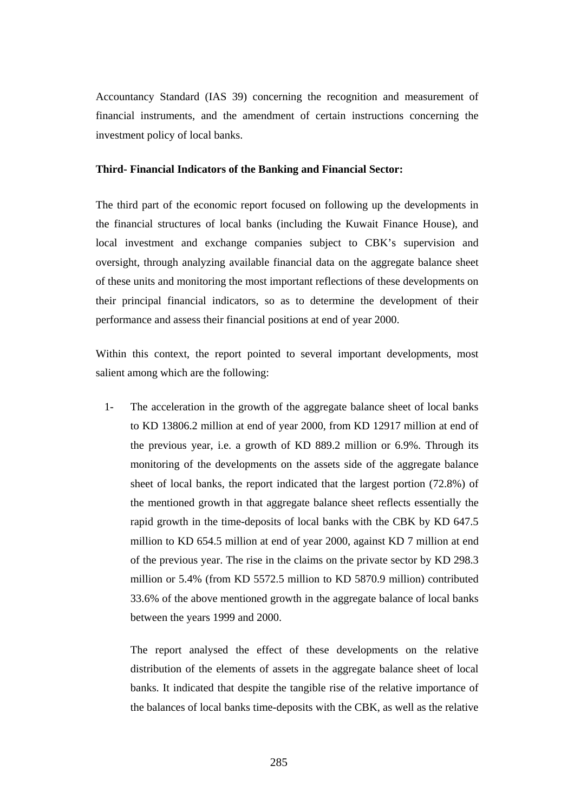Accountancy Standard (IAS 39) concerning the recognition and measurement of financial instruments, and the amendment of certain instructions concerning the investment policy of local banks.

#### **Third- Financial Indicators of the Banking and Financial Sector:**

The third part of the economic report focused on following up the developments in the financial structures of local banks (including the Kuwait Finance House), and local investment and exchange companies subject to CBK's supervision and oversight, through analyzing available financial data on the aggregate balance sheet of these units and monitoring the most important reflections of these developments on their principal financial indicators, so as to determine the development of their performance and assess their financial positions at end of year 2000.

Within this context, the report pointed to several important developments, most salient among which are the following:

1- The acceleration in the growth of the aggregate balance sheet of local banks to KD 13806.2 million at end of year 2000, from KD 12917 million at end of the previous year, i.e. a growth of KD 889.2 million or 6.9%. Through its monitoring of the developments on the assets side of the aggregate balance sheet of local banks, the report indicated that the largest portion (72.8%) of the mentioned growth in that aggregate balance sheet reflects essentially the rapid growth in the time-deposits of local banks with the CBK by KD 647.5 million to KD 654.5 million at end of year 2000, against KD 7 million at end of the previous year. The rise in the claims on the private sector by KD 298.3 million or 5.4% (from KD 5572.5 million to KD 5870.9 million) contributed 33.6% of the above mentioned growth in the aggregate balance of local banks between the years 1999 and 2000.

The report analysed the effect of these developments on the relative distribution of the elements of assets in the aggregate balance sheet of local banks. It indicated that despite the tangible rise of the relative importance of the balances of local banks time-deposits with the CBK, as well as the relative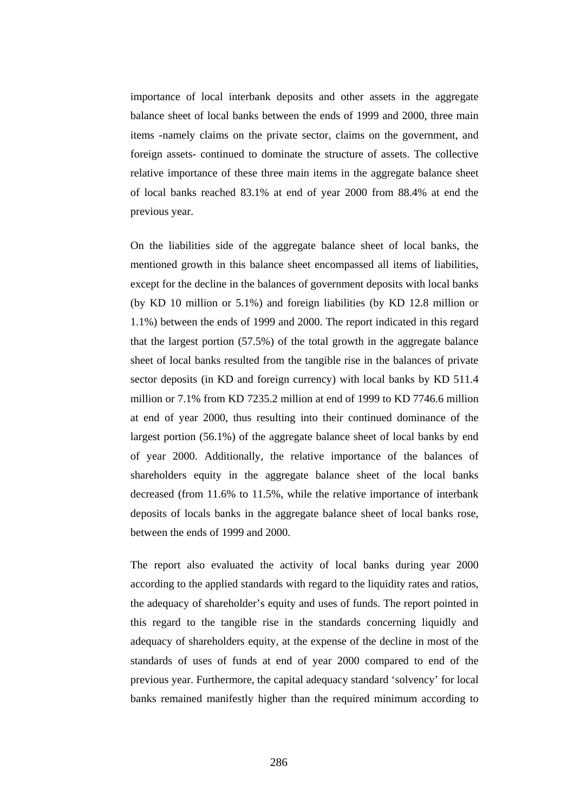importance of local interbank deposits and other assets in the aggregate balance sheet of local banks between the ends of 1999 and 2000, three main items -namely claims on the private sector, claims on the government, and foreign assets- continued to dominate the structure of assets. The collective relative importance of these three main items in the aggregate balance sheet of local banks reached 83.1% at end of year 2000 from 88.4% at end the previous year.

On the liabilities side of the aggregate balance sheet of local banks, the mentioned growth in this balance sheet encompassed all items of liabilities, except for the decline in the balances of government deposits with local banks (by KD 10 million or 5.1%) and foreign liabilities (by KD 12.8 million or 1.1%) between the ends of 1999 and 2000. The report indicated in this regard that the largest portion (57.5%) of the total growth in the aggregate balance sheet of local banks resulted from the tangible rise in the balances of private sector deposits (in KD and foreign currency) with local banks by KD 511.4 million or 7.1% from KD 7235.2 million at end of 1999 to KD 7746.6 million at end of year 2000, thus resulting into their continued dominance of the largest portion (56.1%) of the aggregate balance sheet of local banks by end of year 2000. Additionally, the relative importance of the balances of shareholders equity in the aggregate balance sheet of the local banks decreased (from 11.6% to 11.5%, while the relative importance of interbank deposits of locals banks in the aggregate balance sheet of local banks rose, between the ends of 1999 and 2000.

The report also evaluated the activity of local banks during year 2000 according to the applied standards with regard to the liquidity rates and ratios, the adequacy of shareholder's equity and uses of funds. The report pointed in this regard to the tangible rise in the standards concerning liquidly and adequacy of shareholders equity, at the expense of the decline in most of the standards of uses of funds at end of year 2000 compared to end of the previous year. Furthermore, the capital adequacy standard 'solvency' for local banks remained manifestly higher than the required minimum according to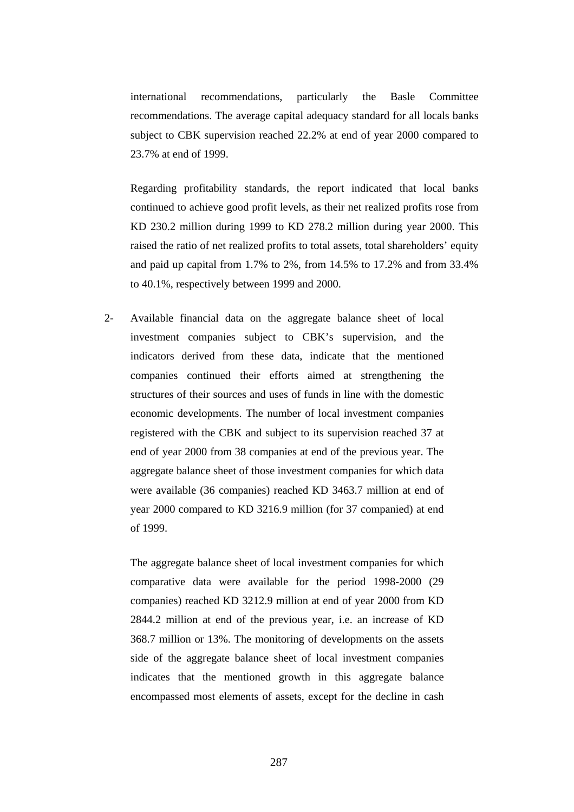international recommendations, particularly the Basle Committee recommendations. The average capital adequacy standard for all locals banks subject to CBK supervision reached 22.2% at end of year 2000 compared to 23.7% at end of 1999.

Regarding profitability standards, the report indicated that local banks continued to achieve good profit levels, as their net realized profits rose from KD 230.2 million during 1999 to KD 278.2 million during year 2000. This raised the ratio of net realized profits to total assets, total shareholders' equity and paid up capital from 1.7% to 2%, from 14.5% to 17.2% and from 33.4% to 40.1%, respectively between 1999 and 2000.

2- Available financial data on the aggregate balance sheet of local investment companies subject to CBK's supervision, and the indicators derived from these data, indicate that the mentioned companies continued their efforts aimed at strengthening the structures of their sources and uses of funds in line with the domestic economic developments. The number of local investment companies registered with the CBK and subject to its supervision reached 37 at end of year 2000 from 38 companies at end of the previous year. The aggregate balance sheet of those investment companies for which data were available (36 companies) reached KD 3463.7 million at end of year 2000 compared to KD 3216.9 million (for 37 companied) at end of 1999.

The aggregate balance sheet of local investment companies for which comparative data were available for the period 1998-2000 (29 companies) reached KD 3212.9 million at end of year 2000 from KD 2844.2 million at end of the previous year, i.e. an increase of KD 368.7 million or 13%. The monitoring of developments on the assets side of the aggregate balance sheet of local investment companies indicates that the mentioned growth in this aggregate balance encompassed most elements of assets, except for the decline in cash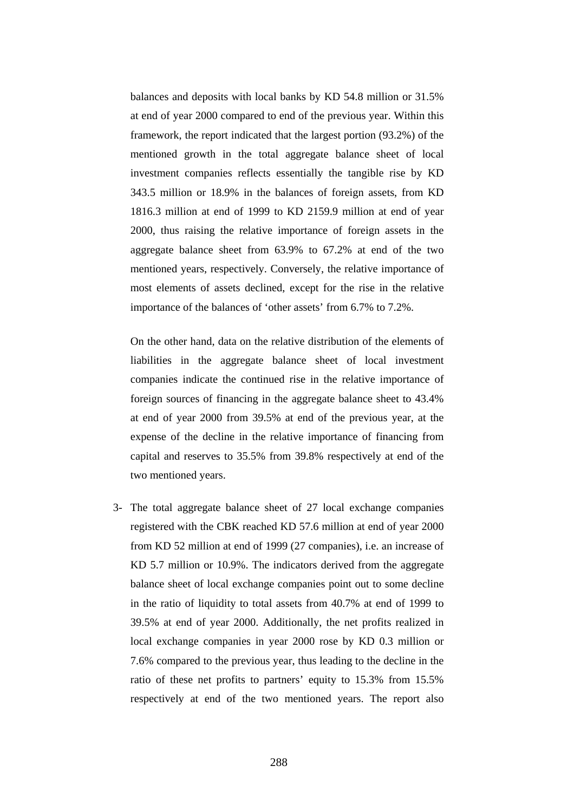balances and deposits with local banks by KD 54.8 million or 31.5% at end of year 2000 compared to end of the previous year. Within this framework, the report indicated that the largest portion (93.2%) of the mentioned growth in the total aggregate balance sheet of local investment companies reflects essentially the tangible rise by KD 343.5 million or 18.9% in the balances of foreign assets, from KD 1816.3 million at end of 1999 to KD 2159.9 million at end of year 2000, thus raising the relative importance of foreign assets in the aggregate balance sheet from 63.9% to 67.2% at end of the two mentioned years, respectively. Conversely, the relative importance of most elements of assets declined, except for the rise in the relative importance of the balances of 'other assets' from 6.7% to 7.2%.

On the other hand, data on the relative distribution of the elements of liabilities in the aggregate balance sheet of local investment companies indicate the continued rise in the relative importance of foreign sources of financing in the aggregate balance sheet to 43.4% at end of year 2000 from 39.5% at end of the previous year, at the expense of the decline in the relative importance of financing from capital and reserves to 35.5% from 39.8% respectively at end of the two mentioned years.

3- The total aggregate balance sheet of 27 local exchange companies registered with the CBK reached KD 57.6 million at end of year 2000 from KD 52 million at end of 1999 (27 companies), i.e. an increase of KD 5.7 million or 10.9%. The indicators derived from the aggregate balance sheet of local exchange companies point out to some decline in the ratio of liquidity to total assets from 40.7% at end of 1999 to 39.5% at end of year 2000. Additionally, the net profits realized in local exchange companies in year 2000 rose by KD 0.3 million or 7.6% compared to the previous year, thus leading to the decline in the ratio of these net profits to partners' equity to 15.3% from 15.5% respectively at end of the two mentioned years. The report also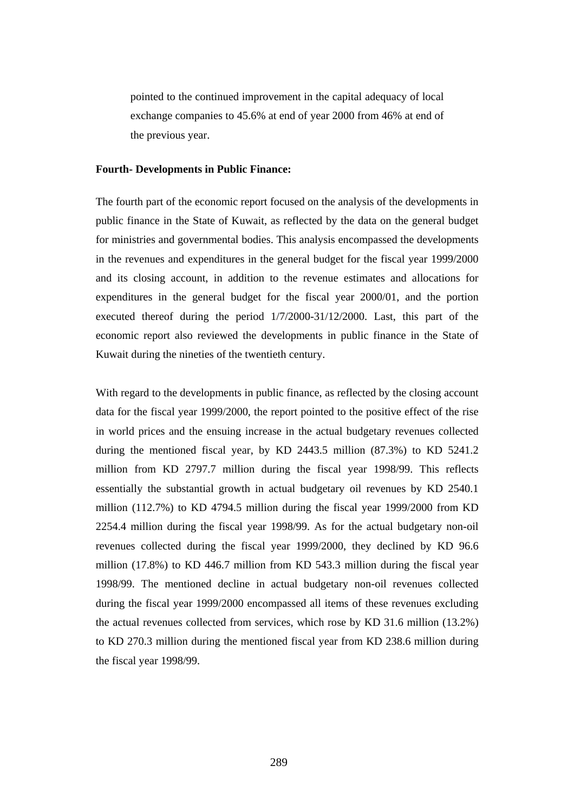pointed to the continued improvement in the capital adequacy of local exchange companies to 45.6% at end of year 2000 from 46% at end of the previous year.

#### **Fourth- Developments in Public Finance:**

The fourth part of the economic report focused on the analysis of the developments in public finance in the State of Kuwait, as reflected by the data on the general budget for ministries and governmental bodies. This analysis encompassed the developments in the revenues and expenditures in the general budget for the fiscal year 1999/2000 and its closing account, in addition to the revenue estimates and allocations for expenditures in the general budget for the fiscal year 2000/01, and the portion executed thereof during the period 1/7/2000-31/12/2000. Last, this part of the economic report also reviewed the developments in public finance in the State of Kuwait during the nineties of the twentieth century.

With regard to the developments in public finance, as reflected by the closing account data for the fiscal year 1999/2000, the report pointed to the positive effect of the rise in world prices and the ensuing increase in the actual budgetary revenues collected during the mentioned fiscal year, by KD 2443.5 million (87.3%) to KD 5241.2 million from KD 2797.7 million during the fiscal year 1998/99. This reflects essentially the substantial growth in actual budgetary oil revenues by KD 2540.1 million (112.7%) to KD 4794.5 million during the fiscal year 1999/2000 from KD 2254.4 million during the fiscal year 1998/99. As for the actual budgetary non-oil revenues collected during the fiscal year 1999/2000, they declined by KD 96.6 million (17.8%) to KD 446.7 million from KD 543.3 million during the fiscal year 1998/99. The mentioned decline in actual budgetary non-oil revenues collected during the fiscal year 1999/2000 encompassed all items of these revenues excluding the actual revenues collected from services, which rose by KD 31.6 million (13.2%) to KD 270.3 million during the mentioned fiscal year from KD 238.6 million during the fiscal year 1998/99.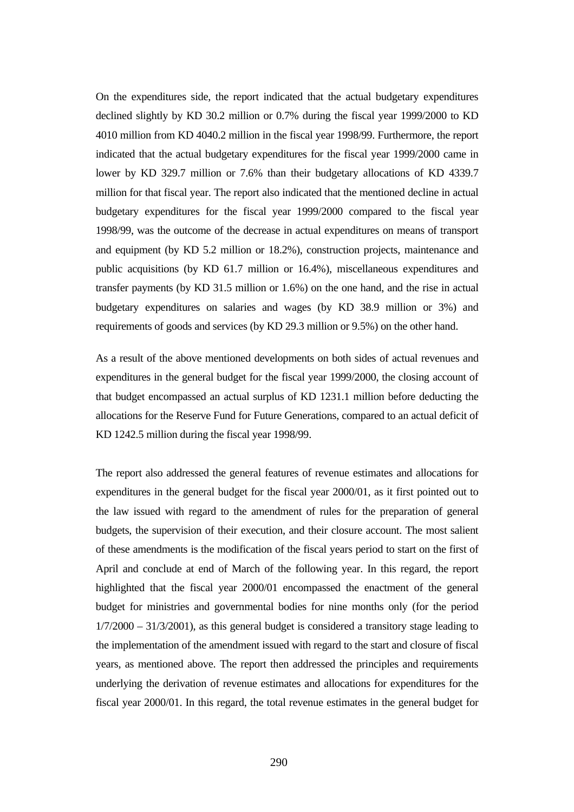On the expenditures side, the report indicated that the actual budgetary expenditures declined slightly by KD 30.2 million or 0.7% during the fiscal year 1999/2000 to KD 4010 million from KD 4040.2 million in the fiscal year 1998/99. Furthermore, the report indicated that the actual budgetary expenditures for the fiscal year 1999/2000 came in lower by KD 329.7 million or 7.6% than their budgetary allocations of KD 4339.7 million for that fiscal year. The report also indicated that the mentioned decline in actual budgetary expenditures for the fiscal year 1999/2000 compared to the fiscal year 1998/99, was the outcome of the decrease in actual expenditures on means of transport and equipment (by KD 5.2 million or 18.2%), construction projects, maintenance and public acquisitions (by KD 61.7 million or 16.4%), miscellaneous expenditures and transfer payments (by KD 31.5 million or 1.6%) on the one hand, and the rise in actual budgetary expenditures on salaries and wages (by KD 38.9 million or 3%) and requirements of goods and services (by KD 29.3 million or 9.5%) on the other hand.

As a result of the above mentioned developments on both sides of actual revenues and expenditures in the general budget for the fiscal year 1999/2000, the closing account of that budget encompassed an actual surplus of KD 1231.1 million before deducting the allocations for the Reserve Fund for Future Generations, compared to an actual deficit of KD 1242.5 million during the fiscal year 1998/99.

The report also addressed the general features of revenue estimates and allocations for expenditures in the general budget for the fiscal year 2000/01, as it first pointed out to the law issued with regard to the amendment of rules for the preparation of general budgets, the supervision of their execution, and their closure account. The most salient of these amendments is the modification of the fiscal years period to start on the first of April and conclude at end of March of the following year. In this regard, the report highlighted that the fiscal year 2000/01 encompassed the enactment of the general budget for ministries and governmental bodies for nine months only (for the period  $1/7/2000 - 31/3/2001$ , as this general budget is considered a transitory stage leading to the implementation of the amendment issued with regard to the start and closure of fiscal years, as mentioned above. The report then addressed the principles and requirements underlying the derivation of revenue estimates and allocations for expenditures for the fiscal year 2000/01. In this regard, the total revenue estimates in the general budget for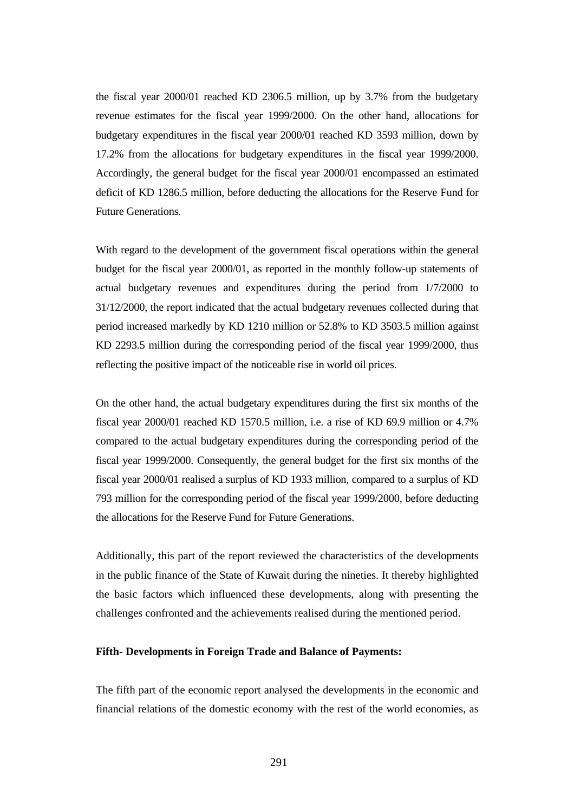the fiscal year 2000/01 reached KD 2306.5 million, up by 3.7% from the budgetary revenue estimates for the fiscal year 1999/2000. On the other hand, allocations for budgetary expenditures in the fiscal year 2000/01 reached KD 3593 million, down by 17.2% from the allocations for budgetary expenditures in the fiscal year 1999/2000. Accordingly, the general budget for the fiscal year 2000/01 encompassed an estimated deficit of KD 1286.5 million, before deducting the allocations for the Reserve Fund for Future Generations.

With regard to the development of the government fiscal operations within the general budget for the fiscal year 2000/01, as reported in the monthly follow-up statements of actual budgetary revenues and expenditures during the period from 1/7/2000 to 31/12/2000, the report indicated that the actual budgetary revenues collected during that period increased markedly by KD 1210 million or 52.8% to KD 3503.5 million against KD 2293.5 million during the corresponding period of the fiscal year 1999/2000, thus reflecting the positive impact of the noticeable rise in world oil prices.

On the other hand, the actual budgetary expenditures during the first six months of the fiscal year 2000/01 reached KD 1570.5 million, i.e. a rise of KD 69.9 million or 4.7% compared to the actual budgetary expenditures during the corresponding period of the fiscal year 1999/2000. Consequently, the general budget for the first six months of the fiscal year 2000/01 realised a surplus of KD 1933 million, compared to a surplus of KD 793 million for the corresponding period of the fiscal year 1999/2000, before deducting the allocations for the Reserve Fund for Future Generations.

Additionally, this part of the report reviewed the characteristics of the developments in the public finance of the State of Kuwait during the nineties. It thereby highlighted the basic factors which influenced these developments, along with presenting the challenges confronted and the achievements realised during the mentioned period.

## **Fifth- Developments in Foreign Trade and Balance of Payments:**

The fifth part of the economic report analysed the developments in the economic and financial relations of the domestic economy with the rest of the world economies, as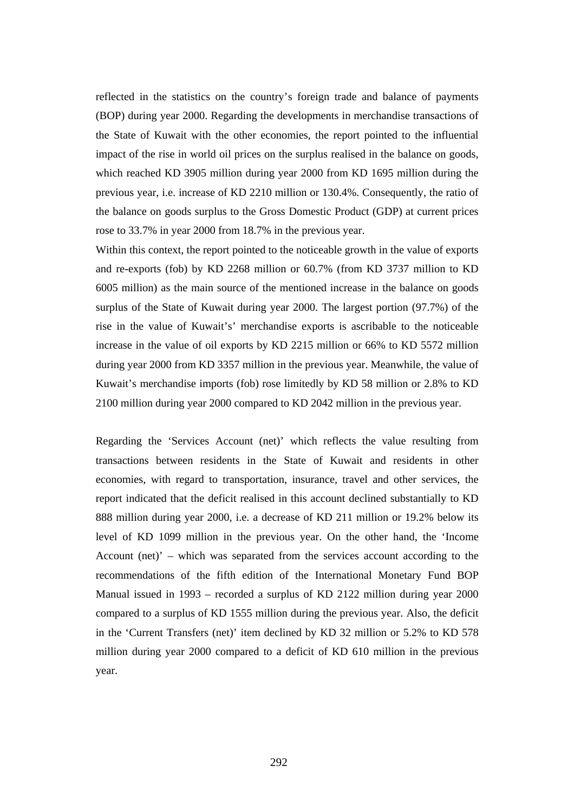reflected in the statistics on the country's foreign trade and balance of payments (BOP) during year 2000. Regarding the developments in merchandise transactions of the State of Kuwait with the other economies, the report pointed to the influential impact of the rise in world oil prices on the surplus realised in the balance on goods, which reached KD 3905 million during year 2000 from KD 1695 million during the previous year, i.e. increase of KD 2210 million or 130.4%. Consequently, the ratio of the balance on goods surplus to the Gross Domestic Product (GDP) at current prices rose to 33.7% in year 2000 from 18.7% in the previous year.

Within this context, the report pointed to the noticeable growth in the value of exports and re-exports (fob) by KD 2268 million or 60.7% (from KD 3737 million to KD 6005 million) as the main source of the mentioned increase in the balance on goods surplus of the State of Kuwait during year 2000. The largest portion (97.7%) of the rise in the value of Kuwait's' merchandise exports is ascribable to the noticeable increase in the value of oil exports by KD 2215 million or 66% to KD 5572 million during year 2000 from KD 3357 million in the previous year. Meanwhile, the value of Kuwait's merchandise imports (fob) rose limitedly by KD 58 million or 2.8% to KD 2100 million during year 2000 compared to KD 2042 million in the previous year.

Regarding the 'Services Account (net)' which reflects the value resulting from transactions between residents in the State of Kuwait and residents in other economies, with regard to transportation, insurance, travel and other services, the report indicated that the deficit realised in this account declined substantially to KD 888 million during year 2000, i.e. a decrease of KD 211 million or 19.2% below its level of KD 1099 million in the previous year. On the other hand, the 'Income Account (net)' – which was separated from the services account according to the recommendations of the fifth edition of the International Monetary Fund BOP Manual issued in 1993 – recorded a surplus of KD 2122 million during year 2000 compared to a surplus of KD 1555 million during the previous year. Also, the deficit in the 'Current Transfers (net)' item declined by KD 32 million or 5.2% to KD 578 million during year 2000 compared to a deficit of KD 610 million in the previous year.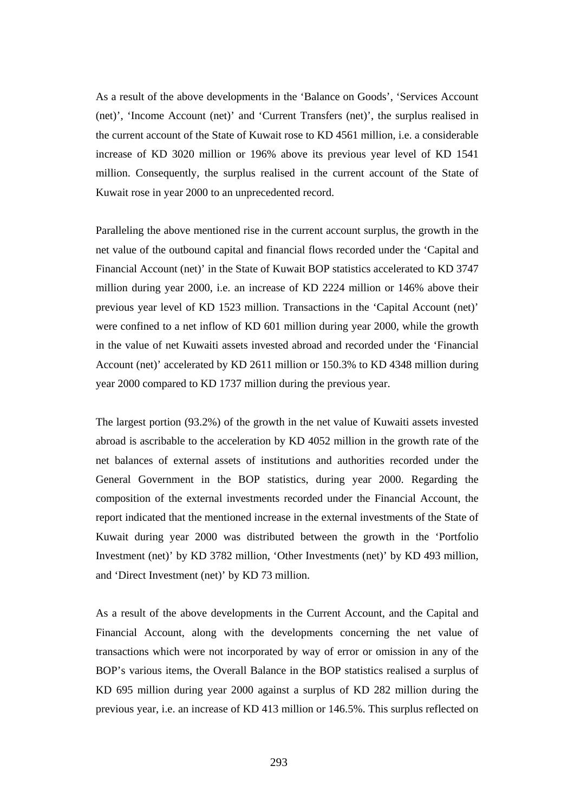As a result of the above developments in the 'Balance on Goods', 'Services Account (net)', 'Income Account (net)' and 'Current Transfers (net)', the surplus realised in the current account of the State of Kuwait rose to KD 4561 million, i.e. a considerable increase of KD 3020 million or 196% above its previous year level of KD 1541 million. Consequently, the surplus realised in the current account of the State of Kuwait rose in year 2000 to an unprecedented record.

Paralleling the above mentioned rise in the current account surplus, the growth in the net value of the outbound capital and financial flows recorded under the 'Capital and Financial Account (net)' in the State of Kuwait BOP statistics accelerated to KD 3747 million during year 2000, i.e. an increase of KD 2224 million or 146% above their previous year level of KD 1523 million. Transactions in the 'Capital Account (net)' were confined to a net inflow of KD 601 million during year 2000, while the growth in the value of net Kuwaiti assets invested abroad and recorded under the 'Financial Account (net)' accelerated by KD 2611 million or 150.3% to KD 4348 million during year 2000 compared to KD 1737 million during the previous year.

The largest portion (93.2%) of the growth in the net value of Kuwaiti assets invested abroad is ascribable to the acceleration by KD 4052 million in the growth rate of the net balances of external assets of institutions and authorities recorded under the General Government in the BOP statistics, during year 2000. Regarding the composition of the external investments recorded under the Financial Account, the report indicated that the mentioned increase in the external investments of the State of Kuwait during year 2000 was distributed between the growth in the 'Portfolio Investment (net)' by KD 3782 million, 'Other Investments (net)' by KD 493 million, and 'Direct Investment (net)' by KD 73 million.

As a result of the above developments in the Current Account, and the Capital and Financial Account, along with the developments concerning the net value of transactions which were not incorporated by way of error or omission in any of the BOP's various items, the Overall Balance in the BOP statistics realised a surplus of KD 695 million during year 2000 against a surplus of KD 282 million during the previous year, i.e. an increase of KD 413 million or 146.5%. This surplus reflected on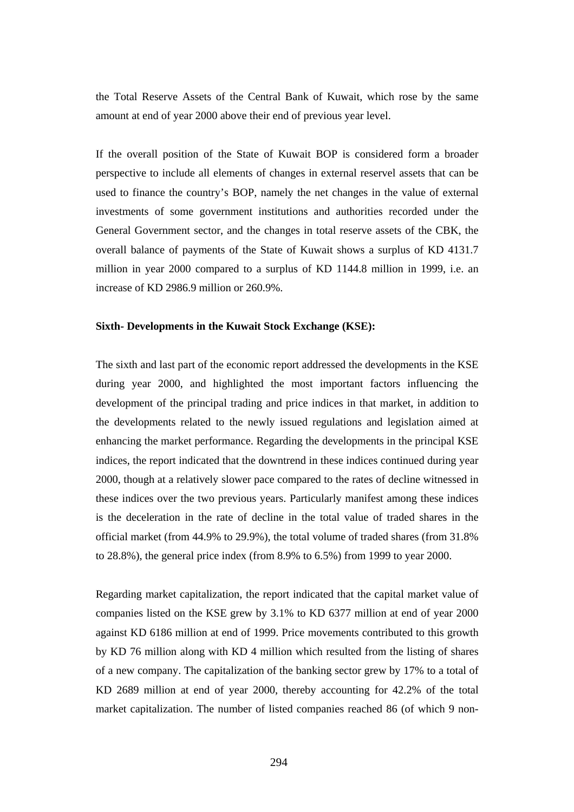the Total Reserve Assets of the Central Bank of Kuwait, which rose by the same amount at end of year 2000 above their end of previous year level.

If the overall position of the State of Kuwait BOP is considered form a broader perspective to include all elements of changes in external reservel assets that can be used to finance the country's BOP, namely the net changes in the value of external investments of some government institutions and authorities recorded under the General Government sector, and the changes in total reserve assets of the CBK, the overall balance of payments of the State of Kuwait shows a surplus of KD 4131.7 million in year 2000 compared to a surplus of KD 1144.8 million in 1999, i.e. an increase of KD 2986.9 million or 260.9%.

### **Sixth- Developments in the Kuwait Stock Exchange (KSE):**

The sixth and last part of the economic report addressed the developments in the KSE during year 2000, and highlighted the most important factors influencing the development of the principal trading and price indices in that market, in addition to the developments related to the newly issued regulations and legislation aimed at enhancing the market performance. Regarding the developments in the principal KSE indices, the report indicated that the downtrend in these indices continued during year 2000, though at a relatively slower pace compared to the rates of decline witnessed in these indices over the two previous years. Particularly manifest among these indices is the deceleration in the rate of decline in the total value of traded shares in the official market (from 44.9% to 29.9%), the total volume of traded shares (from 31.8% to 28.8%), the general price index (from 8.9% to 6.5%) from 1999 to year 2000.

Regarding market capitalization, the report indicated that the capital market value of companies listed on the KSE grew by 3.1% to KD 6377 million at end of year 2000 against KD 6186 million at end of 1999. Price movements contributed to this growth by KD 76 million along with KD 4 million which resulted from the listing of shares of a new company. The capitalization of the banking sector grew by 17% to a total of KD 2689 million at end of year 2000, thereby accounting for 42.2% of the total market capitalization. The number of listed companies reached 86 (of which 9 non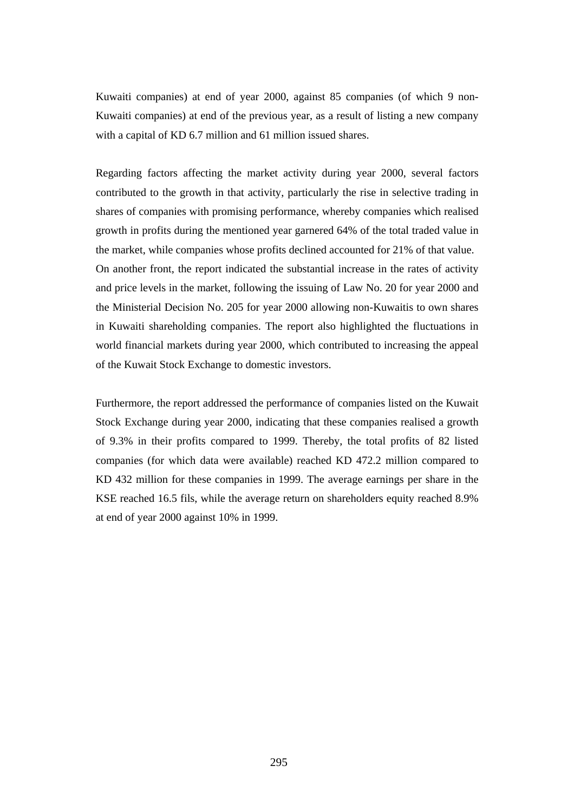Kuwaiti companies) at end of year 2000, against 85 companies (of which 9 non-Kuwaiti companies) at end of the previous year, as a result of listing a new company with a capital of KD 6.7 million and 61 million issued shares.

Regarding factors affecting the market activity during year 2000, several factors contributed to the growth in that activity, particularly the rise in selective trading in shares of companies with promising performance, whereby companies which realised growth in profits during the mentioned year garnered 64% of the total traded value in the market, while companies whose profits declined accounted for 21% of that value. On another front, the report indicated the substantial increase in the rates of activity and price levels in the market, following the issuing of Law No. 20 for year 2000 and the Ministerial Decision No. 205 for year 2000 allowing non-Kuwaitis to own shares in Kuwaiti shareholding companies. The report also highlighted the fluctuations in world financial markets during year 2000, which contributed to increasing the appeal of the Kuwait Stock Exchange to domestic investors.

Furthermore, the report addressed the performance of companies listed on the Kuwait Stock Exchange during year 2000, indicating that these companies realised a growth of 9.3% in their profits compared to 1999. Thereby, the total profits of 82 listed companies (for which data were available) reached KD 472.2 million compared to KD 432 million for these companies in 1999. The average earnings per share in the KSE reached 16.5 fils, while the average return on shareholders equity reached 8.9% at end of year 2000 against 10% in 1999.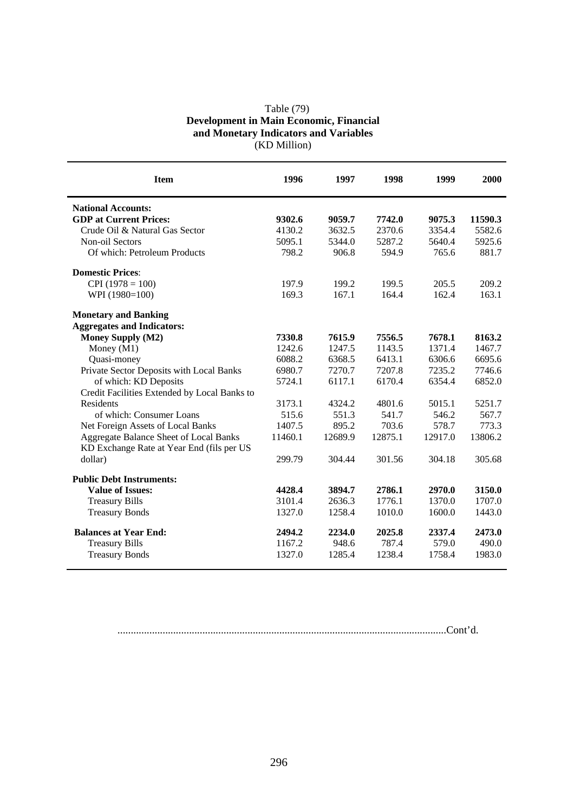# Table (79) **Development in Main Economic, Financial and Monetary Indicators and Variables**  (KD Million)

| <b>Item</b>                                  | 1996    | 1997    | 1998    | 1999    | 2000    |
|----------------------------------------------|---------|---------|---------|---------|---------|
| <b>National Accounts:</b>                    |         |         |         |         |         |
| <b>GDP</b> at Current Prices:                | 9302.6  | 9059.7  | 7742.0  | 9075.3  | 11590.3 |
| Crude Oil & Natural Gas Sector               | 4130.2  | 3632.5  | 2370.6  | 3354.4  | 5582.6  |
| Non-oil Sectors                              | 5095.1  | 5344.0  | 5287.2  | 5640.4  | 5925.6  |
| Of which: Petroleum Products                 | 798.2   | 906.8   | 594.9   | 765.6   | 881.7   |
| <b>Domestic Prices:</b>                      |         |         |         |         |         |
| $CPI(1978 = 100)$                            | 197.9   | 199.2   | 199.5   | 205.5   | 209.2   |
| WPI (1980=100)                               | 169.3   | 167.1   | 164.4   | 162.4   | 163.1   |
| <b>Monetary and Banking</b>                  |         |         |         |         |         |
| <b>Aggregates and Indicators:</b>            |         |         |         |         |         |
| <b>Money Supply (M2)</b>                     | 7330.8  | 7615.9  | 7556.5  | 7678.1  | 8163.2  |
| Money (M1)                                   | 1242.6  | 1247.5  | 1143.5  | 1371.4  | 1467.7  |
| Quasi-money                                  | 6088.2  | 6368.5  | 6413.1  | 6306.6  | 6695.6  |
| Private Sector Deposits with Local Banks     | 6980.7  | 7270.7  | 7207.8  | 7235.2  | 7746.6  |
| of which: KD Deposits                        | 5724.1  | 6117.1  | 6170.4  | 6354.4  | 6852.0  |
| Credit Facilities Extended by Local Banks to |         |         |         |         |         |
| Residents                                    | 3173.1  | 4324.2  | 4801.6  | 5015.1  | 5251.7  |
| of which: Consumer Loans                     | 515.6   | 551.3   | 541.7   | 546.2   | 567.7   |
| Net Foreign Assets of Local Banks            | 1407.5  | 895.2   | 703.6   | 578.7   | 773.3   |
| Aggregate Balance Sheet of Local Banks       | 11460.1 | 12689.9 | 12875.1 | 12917.0 | 13806.2 |
| KD Exchange Rate at Year End (fils per US    |         |         |         |         |         |
| dollar)                                      | 299.79  | 304.44  | 301.56  | 304.18  | 305.68  |
| <b>Public Debt Instruments:</b>              |         |         |         |         |         |
| <b>Value of Issues:</b>                      | 4428.4  | 3894.7  | 2786.1  | 2970.0  | 3150.0  |
| <b>Treasury Bills</b>                        | 3101.4  | 2636.3  | 1776.1  | 1370.0  | 1707.0  |
| <b>Treasury Bonds</b>                        | 1327.0  | 1258.4  | 1010.0  | 1600.0  | 1443.0  |
| <b>Balances at Year End:</b>                 | 2494.2  | 2234.0  | 2025.8  | 2337.4  | 2473.0  |
| <b>Treasury Bills</b>                        | 1167.2  | 948.6   | 787.4   | 579.0   | 490.0   |
| <b>Treasury Bonds</b>                        | 1327.0  | 1285.4  | 1238.4  | 1758.4  | 1983.0  |

............................................................................................................................Cont'd.